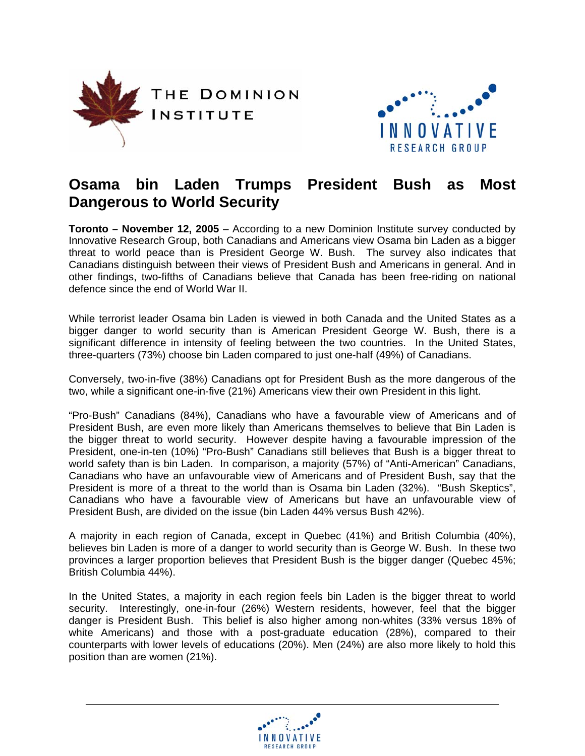



# **Osama bin Laden Trumps President Bush as Most Dangerous to World Security**

**Toronto – November 12, 2005** – According to a new Dominion Institute survey conducted by Innovative Research Group, both Canadians and Americans view Osama bin Laden as a bigger threat to world peace than is President George W. Bush. The survey also indicates that Canadians distinguish between their views of President Bush and Americans in general. And in other findings, two-fifths of Canadians believe that Canada has been free-riding on national defence since the end of World War II.

While terrorist leader Osama bin Laden is viewed in both Canada and the United States as a bigger danger to world security than is American President George W. Bush, there is a significant difference in intensity of feeling between the two countries. In the United States, three-quarters (73%) choose bin Laden compared to just one-half (49%) of Canadians.

Conversely, two-in-five (38%) Canadians opt for President Bush as the more dangerous of the two, while a significant one-in-five (21%) Americans view their own President in this light.

"Pro-Bush" Canadians (84%), Canadians who have a favourable view of Americans and of President Bush, are even more likely than Americans themselves to believe that Bin Laden is the bigger threat to world security. However despite having a favourable impression of the President, one-in-ten (10%) "Pro-Bush" Canadians still believes that Bush is a bigger threat to world safety than is bin Laden. In comparison, a majority (57%) of "Anti-American" Canadians, Canadians who have an unfavourable view of Americans and of President Bush, say that the President is more of a threat to the world than is Osama bin Laden (32%). "Bush Skeptics", Canadians who have a favourable view of Americans but have an unfavourable view of President Bush, are divided on the issue (bin Laden 44% versus Bush 42%).

A majority in each region of Canada, except in Quebec (41%) and British Columbia (40%), believes bin Laden is more of a danger to world security than is George W. Bush. In these two provinces a larger proportion believes that President Bush is the bigger danger (Quebec 45%; British Columbia 44%).

In the United States, a majority in each region feels bin Laden is the bigger threat to world security. Interestingly, one-in-four (26%) Western residents, however, feel that the bigger danger is President Bush. This belief is also higher among non-whites (33% versus 18% of white Americans) and those with a post-graduate education (28%), compared to their counterparts with lower levels of educations (20%). Men (24%) are also more likely to hold this position than are women (21%).

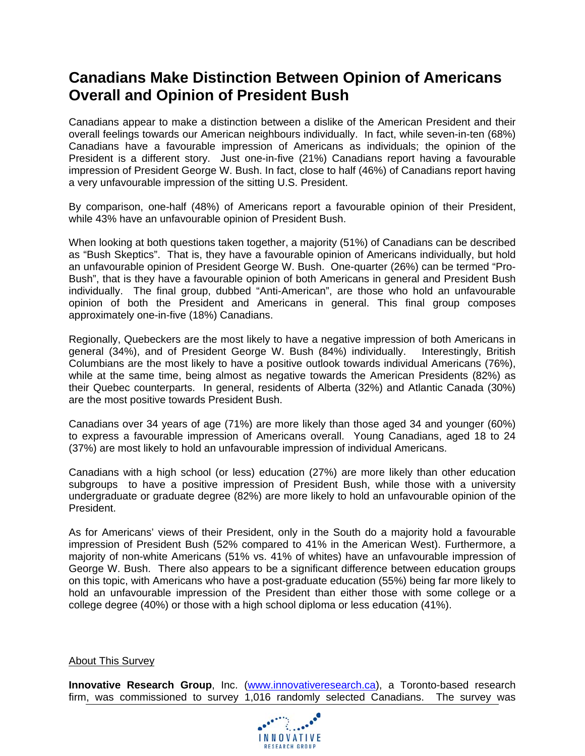# **Canadians Make Distinction Between Opinion of Americans Overall and Opinion of President Bush**

Canadians appear to make a distinction between a dislike of the American President and their overall feelings towards our American neighbours individually. In fact, while seven-in-ten (68%) Canadians have a favourable impression of Americans as individuals; the opinion of the President is a different story. Just one-in-five (21%) Canadians report having a favourable impression of President George W. Bush. In fact, close to half (46%) of Canadians report having a very unfavourable impression of the sitting U.S. President.

By comparison, one-half (48%) of Americans report a favourable opinion of their President, while 43% have an unfavourable opinion of President Bush.

When looking at both questions taken together, a majority (51%) of Canadians can be described as "Bush Skeptics". That is, they have a favourable opinion of Americans individually, but hold an unfavourable opinion of President George W. Bush. One-quarter (26%) can be termed "Pro-Bush", that is they have a favourable opinion of both Americans in general and President Bush individually. The final group, dubbed "Anti-American", are those who hold an unfavourable opinion of both the President and Americans in general. This final group composes approximately one-in-five (18%) Canadians.

Regionally, Quebeckers are the most likely to have a negative impression of both Americans in general (34%), and of President George W. Bush (84%) individually. Interestingly, British Columbians are the most likely to have a positive outlook towards individual Americans (76%), while at the same time, being almost as negative towards the American Presidents (82%) as their Quebec counterparts. In general, residents of Alberta (32%) and Atlantic Canada (30%) are the most positive towards President Bush.

Canadians over 34 years of age (71%) are more likely than those aged 34 and younger (60%) to express a favourable impression of Americans overall. Young Canadians, aged 18 to 24 (37%) are most likely to hold an unfavourable impression of individual Americans.

Canadians with a high school (or less) education (27%) are more likely than other education subgroups to have a positive impression of President Bush, while those with a university undergraduate or graduate degree (82%) are more likely to hold an unfavourable opinion of the President.

As for Americans' views of their President, only in the South do a majority hold a favourable impression of President Bush (52% compared to 41% in the American West). Furthermore, a majority of non-white Americans (51% vs. 41% of whites) have an unfavourable impression of George W. Bush. There also appears to be a significant difference between education groups on this topic, with Americans who have a post-graduate education (55%) being far more likely to hold an unfavourable impression of the President than either those with some college or a college degree (40%) or those with a high school diploma or less education (41%).

#### About This Survey

**Innovative Research Group, Inc.** (www.innovativeresearch.ca), a Toronto-based research firm, was commissioned to survey 1,016 randomly selected Canadians. The survey was

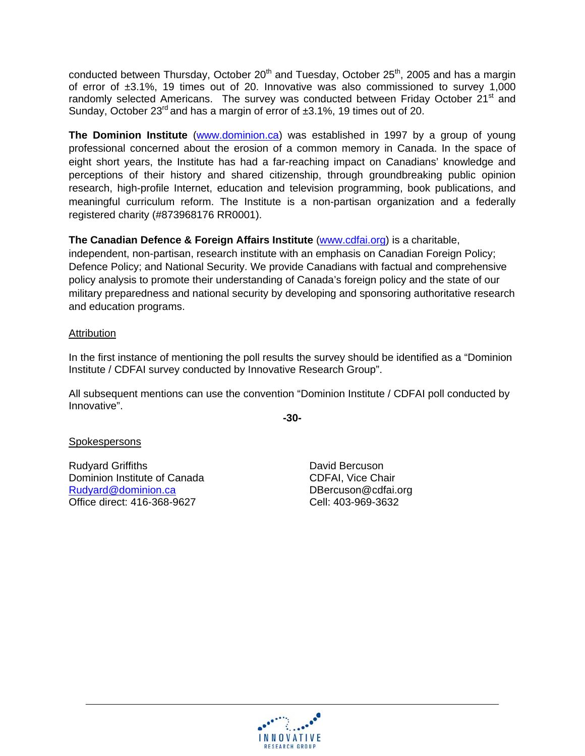conducted between Thursday, October 20<sup>th</sup> and Tuesday, October 25<sup>th</sup>, 2005 and has a margin of error of ±3.1%, 19 times out of 20. Innovative was also commissioned to survey 1,000 randomly selected Americans. The survey was conducted between Friday October 21<sup>st</sup> and Sunday, October 23<sup>rd</sup> and has a margin of error of ±3.1%, 19 times out of 20.

**The Dominion Institute** (www.dominion.ca) was established in 1997 by a group of young professional concerned about the erosion of a common memory in Canada. In the space of eight short years, the Institute has had a far-reaching impact on Canadians' knowledge and perceptions of their history and shared citizenship, through groundbreaking public opinion research, high-profile Internet, education and television programming, book publications, and meaningful curriculum reform. The Institute is a non-partisan organization and a federally registered charity (#873968176 RR0001).

### **The Canadian Defence & Foreign Affairs Institute** (www.cdfai.org) is a charitable,

independent, non-partisan, research institute with an emphasis on Canadian Foreign Policy; Defence Policy; and National Security. We provide Canadians with factual and comprehensive policy analysis to promote their understanding of Canada's foreign policy and the state of our military preparedness and national security by developing and sponsoring authoritative research and education programs.

#### **Attribution**

In the first instance of mentioning the poll results the survey should be identified as a "Dominion Institute / CDFAI survey conducted by Innovative Research Group".

All subsequent mentions can use the convention "Dominion Institute / CDFAI poll conducted by Innovative".

**-30-** 

#### **Spokespersons**

Rudyard Griffiths **David Bercuson** Dominion Institute of Canada CDFAI, Vice Chair Rudyard@dominion.ca DBercuson@cdfai.org Office direct: 416-368-9627 Cell: 403-969-3632

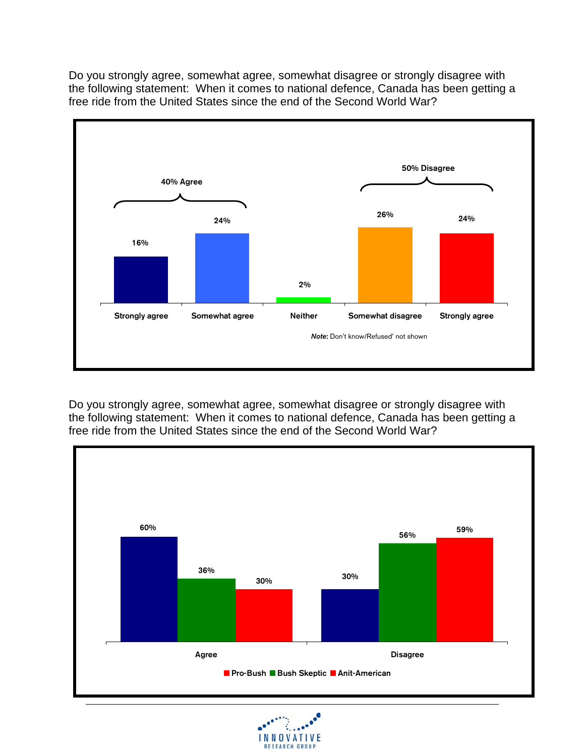Do you strongly agree, somewhat agree, somewhat disagree or strongly disagree with the following statement: When it comes to national defence, Canada has been getting a free ride from the United States since the end of the Second World War?



Do you strongly agree, somewhat agree, somewhat disagree or strongly disagree with the following statement: When it comes to national defence, Canada has been getting a free ride from the United States since the end of the Second World War?



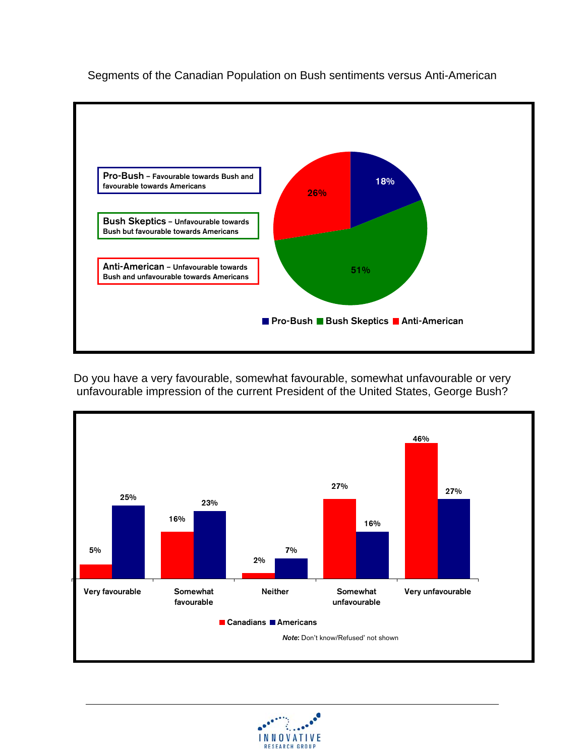

Segments of the Canadian Population on Bush sentiments versus Anti-American

Do you have a very favourable, somewhat favourable, somewhat unfavourable or very unfavourable impression of the current President of the United States, George Bush?



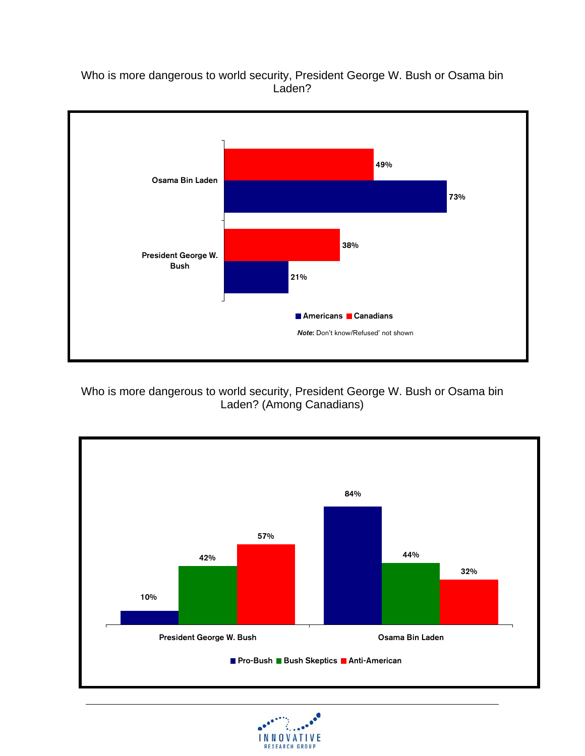Who is more dangerous to world security, President George W. Bush or Osama bin Laden?



Who is more dangerous to world security, President George W. Bush or Osama bin Laden? (Among Canadians)